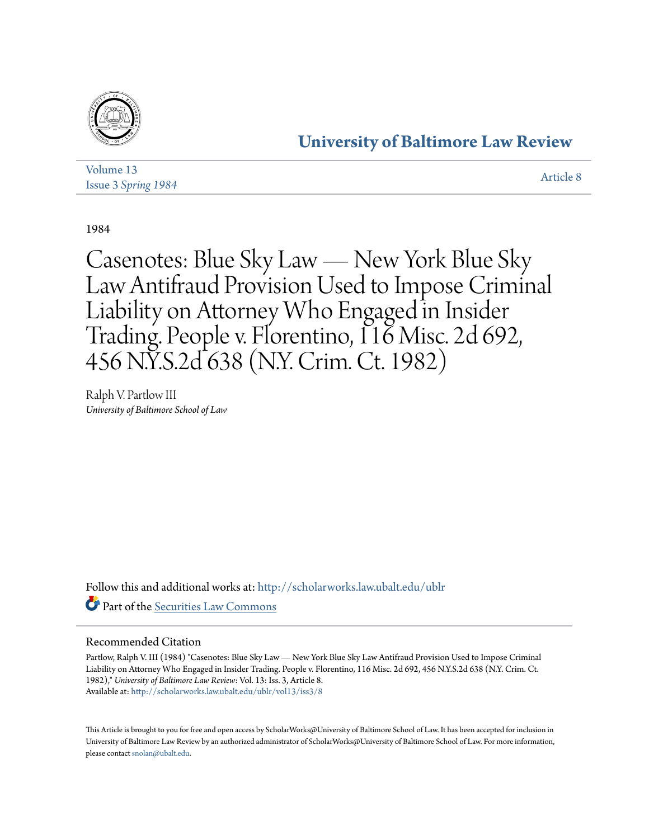

## **[University of Baltimore Law Review](http://scholarworks.law.ubalt.edu/ublr?utm_source=scholarworks.law.ubalt.edu%2Fublr%2Fvol13%2Fiss3%2F8&utm_medium=PDF&utm_campaign=PDFCoverPages)**

| Volume 13                  |  | <b>Article 8</b> |
|----------------------------|--|------------------|
| <b>Issue 3 Spring 1984</b> |  |                  |

1984

Casenotes: Blue Sky Law — New York Blue Sky Law Antifraud Provision Used to Impose Criminal Liability on Attorney Who Engaged in Insider Trading. People v. Florentino, 116 Misc. 2d 692, 456 N.Y.S.2d 638 (N.Y. Crim. Ct. 1982)

Ralph V. Partlow III *University of Baltimore School of Law*

Follow this and additional works at: [http://scholarworks.law.ubalt.edu/ublr](http://scholarworks.law.ubalt.edu/ublr?utm_source=scholarworks.law.ubalt.edu%2Fublr%2Fvol13%2Fiss3%2F8&utm_medium=PDF&utm_campaign=PDFCoverPages) Part of the [Securities Law Commons](http://network.bepress.com/hgg/discipline/619?utm_source=scholarworks.law.ubalt.edu%2Fublr%2Fvol13%2Fiss3%2F8&utm_medium=PDF&utm_campaign=PDFCoverPages)

### Recommended Citation

Partlow, Ralph V. III (1984) "Casenotes: Blue Sky Law — New York Blue Sky Law Antifraud Provision Used to Impose Criminal Liability on Attorney Who Engaged in Insider Trading. People v. Florentino, 116 Misc. 2d 692, 456 N.Y.S.2d 638 (N.Y. Crim. Ct. 1982)," *University of Baltimore Law Review*: Vol. 13: Iss. 3, Article 8. Available at: [http://scholarworks.law.ubalt.edu/ublr/vol13/iss3/8](http://scholarworks.law.ubalt.edu/ublr/vol13/iss3/8?utm_source=scholarworks.law.ubalt.edu%2Fublr%2Fvol13%2Fiss3%2F8&utm_medium=PDF&utm_campaign=PDFCoverPages)

This Article is brought to you for free and open access by ScholarWorks@University of Baltimore School of Law. It has been accepted for inclusion in University of Baltimore Law Review by an authorized administrator of ScholarWorks@University of Baltimore School of Law. For more information, please contact [snolan@ubalt.edu.](mailto:snolan@ubalt.edu)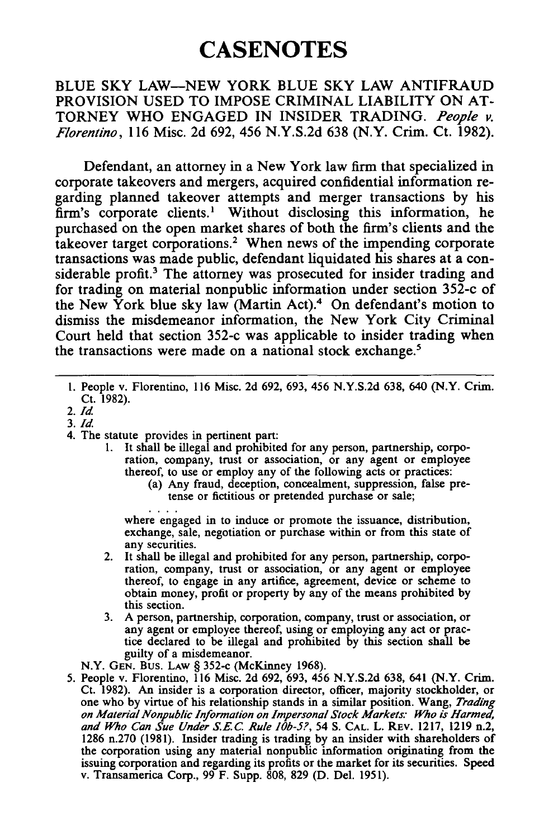# **CASENOTES**

#### BLUE SKY LAW-NEW YORK BLUE SKY LAW ANTIFRAUD PROVISION USED TO IMPOSE CRIMINAL LIABILITY ON AT-TORNEY WHO ENGAGED IN INSIDER TRADING. *People v. Florentino,* 116 Misc. 2d 692, 456 N.Y.S.2d 638 (N.Y. Crim. Ct. 1982).

Defendant, an attorney in a New York law firm that specialized in corporate takeovers and mergers, acquired confidential information regarding planned takeover attempts and merger transactions by his  $\overline{f}$ firm's corporate clients.<sup>1</sup> Without disclosing this information, he purchased on the open market shares of both the firm's clients and the takeover target corporations.2 When news of the impending corporate transactions was made public, defendant liquidated his shares at a considerable profit.<sup>3</sup> The attorney was prosecuted for insider trading and for trading on material nonpublic information under section 352-c of the New York blue sky law (Martin Act).4 On defendant's motion to dismiss the misdemeanor information, the New York City Criminal Court held that section 352-c was applicable to insider trading when the transactions were made on a national stock exchange.<sup>5</sup>

l. People v. Florentino, 116 Misc. 2d 692, 693, 456 N.Y.S.2d 638, 640 (N.Y. Crim. Ct. 1982).

- *3.Id*
- 4. The statute provides in pertinent part:
	- l. It shall be illegal and prohibited for any person, partnership, corporation, company, trust or association, or any agent or employee thereof, to use or employ any of the following acts or practices:
		- (a) Any fraud, deception, concealment, suppression, false pretense or fictitious or pretended purchase or sale;

where engaged in to induce or promote the issuance, distribution, exchange, sale, negotiation or purchase within or from this state of any securities.

- 2. It shall be illegal and prohibited for any person, partnership, corporation, company, trust or association, or any agent or employee thereof, to engage in any artifice, agreement, device or scheme to obtain money, profit or property by any of the means prohibited by this section.
- 3. A person, partnership, corporation, company, trust or association, or any agent or employee thereof, using or employing any act or practice declared to be illegal and prohibited by this section shall be guilty of a misdemeanor.

N.Y. GEN. Bus. LAW § 352-c (McKinney 1968).

5. People v. Florentino, 116 Misc. 2d 692, 693, 456 N.Y.S.2d 638, 641 (N.Y. Crim. Ct. 1982). An insider is a corporation director, officer, majority stockholder, or one who by virtue of his relationship stands in a similar position. Wang, *Trading on Material Nonpublic In/ormation on Impersonal Stock Markets: Who is Harmed, and Who Can Sue Under* s.E.c. *Rule lOb-5?,* 54 S. CAL. L. REV. 1217, 1219 n.2, 1286 n.270 (1981). Insider trading is trading by an insider with shareholders of the corporation using any material nonpublic information originating from the issuing corporation and regarding its profits or the market for its securities. Speed v. Transamerica Corp., 99 F. Supp. 808, 829 (D. Del. 1951).

*<sup>2.</sup>Id*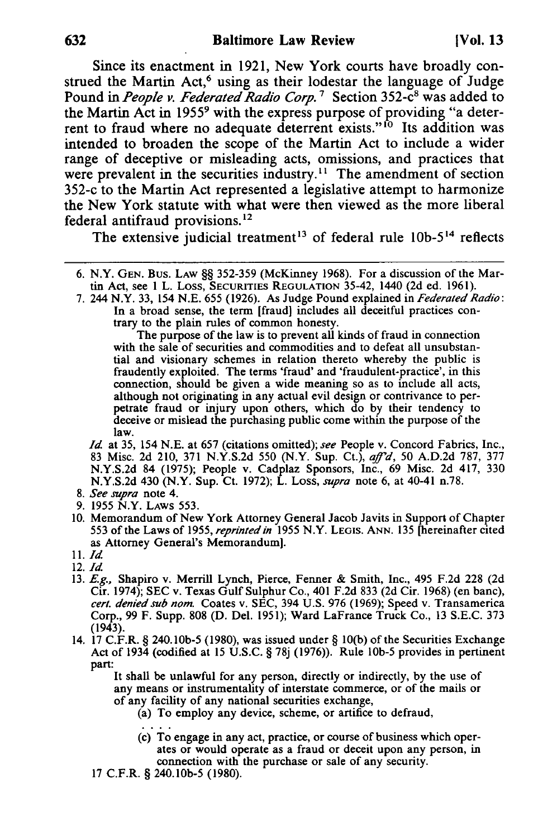Since its enactment in 1921, New York courts have broadly construed the Martin Act,<sup>6</sup> using as their lodestar the language of Judge Pound in *People v. Federated Radio Corp.*<sup>7</sup> Section 352-c<sup>8</sup> was added to the Martin Act in 1955<sup>9</sup> with the express purpose of providing "a deterrent to fraud where no adequate deterrent exists."<sup>10</sup> Its addition was intended to broaden the scope of the Martin Act to include a wider range of deceptive or misleading acts, omissions, and practices that were prevalent in the securities industry.<sup>11</sup> The amendment of section 352-c to the Martin Act represented a legislative attempt to harmonize the New York statute with what were then viewed as the more liberal federal antifraud provisions. 12

The extensive judicial treatment<sup>13</sup> of federal rule  $10b-5<sup>14</sup>$  reflects

7. 244 N.Y. 33, 154 N.E. 655 (1926). As Judge Pound explained in *Federated Radio:*  In a broad sense, the term [fraud) includes all deceitful practices contrary to the plain rules of common honesty.

The purpose of the law is to prevent all kinds of fraud in connection with the sale of securities and commodities and to defeat all unsubstantial and visionary schemes in relation thereto whereby the public is fraudently exploited. The terms 'fraud' and 'fraudulent-practice', in this connection, should be given a wide meaning so as to include all acts, although not originating in any actual evil design or contrivance to perpetrate fraud or injury upon others, which do by their tendency to deceive or mislead the purchasing public come within the purpose of the law.

*Id* at 35, 154 N.E. at 657 (citations omitted); *see* People v. Concord Fabrics, Inc., 83 Misc. 2d 210, 371 N.Y.S.2d 550 (N.Y. Sup. Ct.), *aff'd,* 50 A.D.2d 787, 377 N.Y.S.2d 84 (1975); People v. Cadplaz Sponsors, Inc., 69 Misc. 2d 417, 330 N.Y.S.2d 430 (N.Y. Sup. Ct. 1972); L. Loss, *supra* note 6, at 40-41 n.78.

- *8. See supra* note 4.
- 9. 1955 N.Y. LAWS 553.
- 10. Memorandum of New York Attorney General Jacob Javits in Support of Chapter 553 of the Laws of 1955, *reprinted in* 1955 N.Y. LEGIS. ANN. 135 [hereinafter cited as Attorney General's Memorandum).
- 11. *Id*
- 12. *Id*
- 13. E.g., Shapiro v. Merrill Lynch, Pierce, Fenner & Smith, Inc., 495 F.2d 228 (2d Cir. 1974); SEC v. Texas Gulf Sulphur Co., 401 F.2d 833 (2d Cir. 1968) (en banc), *cert. denied sub nom.* Coates v. SEC, 394 U.S. 976 (1969); Speed v. Transamerica Corp., 99 F. Supp. 808 (D. Del. 1951); Ward LaFrance Truck Co., 13 S.E.C. 373 (1943).
- 14. 17 C.F.R. § 240.1Ob-5 (1980), was issued under § 1O(b) of the Securities Exchange Act of 1934 (codified at 15 U.S.C. § 78j (1976)). Rule 10b-5 provides in pertinent part:

It shall be unlawful for any person, directly or indirectly, by the use of any means or instrumentality of interstate commerce, or of the mails or of any facility of any national securities exchange,

(a) To employ any device, scheme, or artifice to defraud,

- (c) To engage in any act, practice, or course of business which operates or would operate as a fraud or deceit upon any person, in connection with the purchase or sale of any security.
- 17 C.F.R. § 240.1Ob-5 (1980).

<sup>6.</sup> N.Y. GEN. Bus. LAW §§ 352-359 (McKinney 1968). For a discussion of the Martin Act, see 1 L. Loss, SECURITIES REGULATION 35-42, 1440 (2d ed. 1961).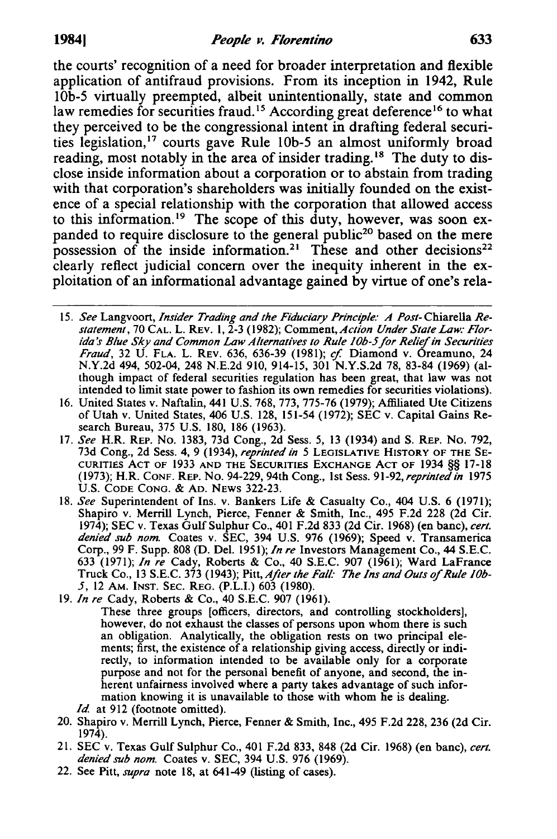the courts' recognition of a need for broader interpretation and flexible application of antifraud provisions. From its inception in 1942, Rule lOb-5 virtually preempted, albeit unintentionally, state and common law remedies for securities fraud.<sup>15</sup> According great deference<sup>16</sup> to what they perceived to be the congressional intent in drafting federal securities legislation,<sup>17</sup> courts gave Rule 10b-5 an almost uniformly broad reading, most notably in the area of insider trading.<sup>18</sup> The duty to disclose inside information about a corporation or to abstain from trading with that corporation's shareholders was initially founded on the existence of a special relationship with the corporation that allowed access to this information.<sup>19</sup> The scope of this duty, however, was soon expanded to require disclosure to the general public<sup>20</sup> based on the mere possession of the inside information.<sup>21</sup> These and other decisions<sup>22</sup> clearly reflect judicial concern over the inequity inherent in the exploitation of an informational advantage gained by virtue of one's rela-

- 15. *See* Langvoort, *Insider Trading and the Fiduciary Principle: A Post-* Chiarella *Re*statement, 70 CAL. L. REV. 1, 2-3 (1982); Comment, *Action Under State Law: Flor*ida's Blue Sky and Common Law Alternatives to Rule 10b-5 for Relief in Securities *Fraud*, 32 U. FLA. L. REV. 636, 636-39 (1981); cf. Diamond v. Oreamuno, 24 N.Y.2d 494, 502-04, 248 N.E.2d 910, 914-15, 301 N.Y.S.2d 78, 83-84 (1969) (although impact of federal securities regulation has been great, that law was not intended to limit state power to fashion its own remedies for securities violations).
- 16. United States v. Naftalin, 441 U.S. 768, 773, 775-76 (1979); Affiliated Ute Citizens of Utah v. United States, 406 U.S. 128, 151-54 (1972); SEC v. Capital Gains Research Bureau, 375 U.S. 180, 186 (1963).
- *17. See* H.R. REP. No. 1383, 73d Cong., 2d Sess. 5, 13 (1934) and S. REp. No. 792, 73d Cong., 2d Sess. 4, 9 (1934), *reprinted in* 5 LEGISLATIVE HISTORY OF THE SE-CURITIES ACT OF 1933 AND THE SECURITIES EXCHANGE ACT OF 1934 §§ 17-18 (1973); H.R. CONF. REP. No. 94-229, 94th Cong., 1st Sess. 91-92, *reprinted in* 1975 U.S. CODE CONG. & AD. NEWS 322-23.
- 18. *See* Superintendent of Ins. V. Bankers Life & Casualty Co., 404 U.S. 6 (1971); Shapiro v. Merrill Lynch, Pierce, Fenner & Smith, Inc., 495 F.2d 228 (2d Cir. 1974); SEC V. Texas Gulf Sulphur Co., 401 F.2d 833 (2d Cir. 1968) (en banc), *cert. denied sub nom.* Coates V. SEC, 394 U.S. 976 (1969); Speed V. Transamerica Corp., 99 F. Supp. 808 (D. Del. 1951); *In re* Investors Management Co., 44 S.E.C. 633 (1971); *In re* Cady, Roberts & Co., 40 S.E.C. 907 (1961); Ward LaFrance Truck Co., 13 S.E.C. 373 (1943); Pitt, *After the Fall' The Ins and Outs* of *Rule lOb-*5, 12 AM. INST. SEC. REG. (P.L.I.) 603 (1980).
- 19. *In re* Cady, Roberts & Co., 40 S.E.C. 907 (1961).
	- These three groups [officers, directors, and controlling stockholders], however, do not exhaust the classes of persons upon whom there is such an obligation. Analytically, the obligation rests on two principal elements; first, the existence of a relationship giving access, directly or indirectly, to information intended to be available only for a corporate purpose and not for the personal benefit of anyone, and second, the inherent unfairness involved where a party takes advantage of such information knowing it is unavailable to those with whom he is dealing. *Id.* at 912 (footnote omitted).
- 20. Shapiro V. Merrill Lynch, Pierce, Fenner & Smith, Inc., 495 F.2d 228, 236 (2d Cir. 1974).
- 21. SEC V. Texas Gulf Sulphur Co., 401 F.2d 833, 848 (2d Cir. 1968) (en banc), *cert. denied sub nom.* Coates V. SEC, 394 U.S. 976 (1969).
- 22. See Pitt, *supra* note 18, at 641-49 (listing of cases).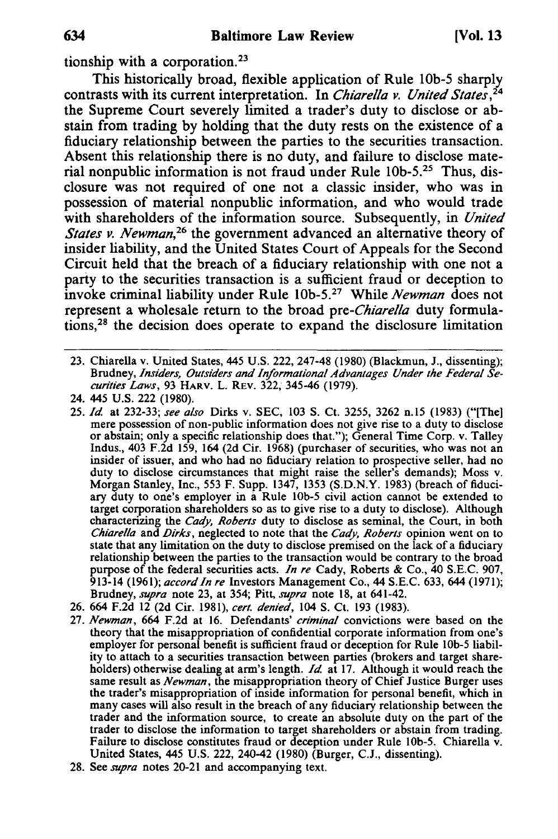tionship with a corporation.<sup>23</sup>

This historically broad, flexible application of Rule lOb-5 sharply contrasts with its current interpretation. In *Chiarella v. United States, 24*  the Supreme Court severely limited a trader's duty to disclose or abstain from trading by holding that the duty rests on the existence of a fiduciary relationship between the parties to the securities transaction. Absent this relationship there is no duty, and failure to disclose material nonpublic information is not fraud under Rule lOb-5.2s Thus, disclosure was not required of one not a classic insider, who was in possession of material nonpublic information, and who would trade with shareholders of the information source. Subsequently, in *United States v. Newman,26* the government advanced an alternative theory of insider liability, and the United States Court of Appeals for the Second Circuit held that the breach of a fiduciary relationship with one not a party to the securities transaction is a sufficient fraud or deception to invoke criminal liability under Rule lOb\_5.27 While *Newman* does not represent a wholesale return to the broad *pre-Chiarella* duty formulations,28 the decision does operate to expand the disclosure limitation

23. Chiarella v. United States, 445 U.S. 222, 247-48 (1980) (Blackmun, J., dissenting); Brudney, *Insiders, Outsiders and Informational Advantages Under the Federal Securities Laws,* 93 HARV. L. REV. 322, 345-46 (1979).

- *25. Id* at 232-33; *see also* Dirks v. SEC, 103 S. Ct. 3255, 3262 n.15 (1983) ("[The) or abstain; only a specific relationship does that."); General Time Corp. v. Talley Indus., 403 F.2d 159, 164 (2d Cir. 1968) (purchaser of securities, who was not an insider of issuer, and who had no fiduciary relation to prospective seller, had no duty to disclose circumstances that might raise the seller's demands); Moss v. Morgan Stanley, Inc., 553 F. Supp. 1347, 1353 (S.D.N.Y. 1983) (breach of fiduciary duty to one's employer in  $a$  Rule 10b-5 civil action cannot be extended to target corporation shareholders so as to give rise to a duty to disclose). Although characterizing the *Cady, Roberts* duty to disclose as seminal, the Court, in both *Chiarella* and *Dirks,* neglected to note that the *Cady, Roberts* opinion went on to state that any limitation on the duty to disclose premised on the lack of a fiduciary relationship between the parties to the transaction would be contrary to the broad purpose of the federal securities acts. *In re* Cady, Roberts & Co., 40 S.E.C. 907, 913-14 (1961); *accord In re* Investors Management Co., 44 S.E.c. 633, 644 (1971); Brudney, *supra* note 23, at 354; Pitt, *supra* note 18, at 641-42.
- 26.664 F.2d 12 (2d Cir. 1981), *cert. denied,* 104 S. Ct. 193 (1983).
- 27. *Newman,* 664 F.2d at 16. Defendants' *criminal* convictions were based on the theory that the misappropriation of confidential corporate information from one's employer for personal benefit is sufficient fraud or deception for Rule IOb-5 liability to attach to a securities transaction between parties (brokers and target shareholders) otherwise dealing at arm's length. *Id* at 17. Although it would reach the same result as *Newman,* the misappropriation theory of Chief Justice Burger uses the trader's misappropriation of inside information for personal benefit, which in many cases will also result in the breach of any fiduciary relationship between the trader and the information source, to create an absolute duty on the part of the trader to disclose the information to target shareholders or abstain from trading. Failure to disclose constitutes fraud or deception under Rule IOb-5. Chiarella v. United States, 445 U.S. 222, 240-42 (1980) (Burger, C.J., dissenting).
- 28. See *supra* notes 20-21 and accompanying text.

<sup>24. 445</sup> U.S. 222 (1980).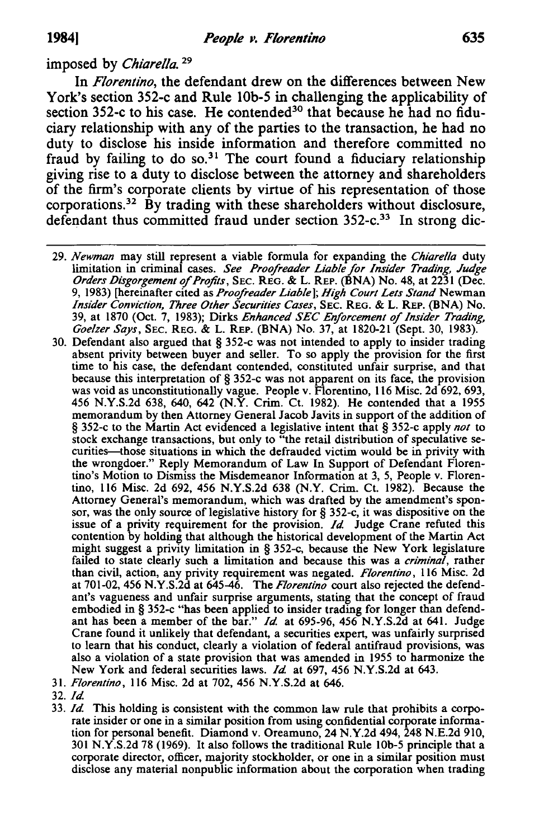## imposed by *Chiarella. 29*

In *Florentino,* the defendant drew on the differences between New York's section 352-c and Rule lOb-5 in challenging the applicability of section 352-c to his case. He contended<sup>30</sup> that because he had no fiduciary relationship with any of the parties to the transaction, he had no duty to disclose his inside information and therefore committed no fraud by failing to do  $\text{so.}^{31}$  The court found a fiduciary relationship giving rise to a duty to disclose between the attorney and shareholders of the firm's corporate clients by virtue of his representation of those corporations.<sup>32</sup> By trading with these shareholders without disclosure, defendant thus committed fraud under section 352-c.<sup>33</sup> In strong dic-

*29. Newman* may still represent a viable formula for expanding the *Chiarella* duty limitation in criminal cases. *See Proofreader Liable for Insider Trading, Judge Orders Disgorgement of Profits,* SEC. REG. & L. REP. (BNA) No. 48, at 2231 (Dec. 9, 1983) [hereinafter cited as *Proofreader Liable]; High Court Lets Stand* Newman *Insider Conviction, Three Other Securities Cases,* SEC. REG. & L. REP. (BNA) No. 39, at 1870 (Oct. 7, 1983); Dirks *Enhanced SEC Enforcement of Insider Trading, Goelzer Says,* SEC. REG. & L. REP. (BNA) No. 37, at 1820-21 (Sept. 30, 1983).

- 30. Defendant also argued that § 352-c was not intended to apply to insider trading absent privity between buyer and seller. To so apply the provision for the first time to his case, the defendant contended, constituted unfair surprise, and that because this interpretation of § 352-c was not apparent on its face, the provision was void as unconstitutionally vague. People v. Florentino, 116 Misc. 2d 692, 693, 456 N.Y.S.2d 638, 640, 642 (N.Y. Crim. Ct. 1982). He contended that a 1955 memorandum by then Attorney General Jacob Javits in support of the addition of § 352-c to the Martin Act evidenced a legislative intent that § 352-c apply *not* to stock exchange transactions, but only to "the retail distribution of speculative securities-those situations in which the defrauded victim would be in privity with the wrongdoer." Reply Memorandum of Law In Support of Defendant Florentino's Motion to Dismiss the Misdemeanor Information at 3, 5, People v. Florentino, 116 Misc. 2d 692, 456 N.Y.S.2d 638 (N.Y. Crim. Ct. 1982). Because the Attorney General's memorandum, which was drafted by the amendment's sponsor, was the only source of legislative history for § 352-c, it was dispositive on the issue of a privity requirement for the provision. *Id.* Judge Crane refuted this contention by holding that although the historical development of the Martin Act might suggest a privity limitation in § 352-c, because the New York legislature failed to state clearly such a limitation and because this was a *criminal,* rather than civil, action, any privity requirement was negated. *Florentino,* 116 Misc. 2d at 701-02, 456 N.Y.S.2d at 645-46. The *Florentino* court also rejected the defendant's vagueness and unfair surprise arguments, stating that the concept of fraud embodied in § 352-c "has been applied to insider trading for longer than defendant has been a member of the bar." *Id.* at 695-96, 456 N.Y.S.2d at 641. Judge Crane found it unlikely that defendant, a securities expert, was unfairly surprised to learn that his conduct, clearly a violation of federal antifraud provisions, was also a violation of a state provision that was amended in 1955 to harmonize the New York and federal securities laws. *Id.* at 697, 456 N.Y.S.2d at 643.
- 31. *Florentino,* 116 Misc. 2d at 702, 456 N. Y .S.2d at 646.
- *32.Id.*
- *33. Id.* This holding is consistent with the common law rule that prohibits a corporate insider or one in a similar position from using confidential corporate information for personal benefit. Diamond v. Oreamuno, 24 N.Y.2d 494, 248 N.E.2d 910, 301 N.Y.S.2d 78 (1969). It also follows the traditional Rule lOb-5 principle that a corporate director, officer, majority stockholder, or one in a similar position must disclose any material nonpublic information about the corporation when trading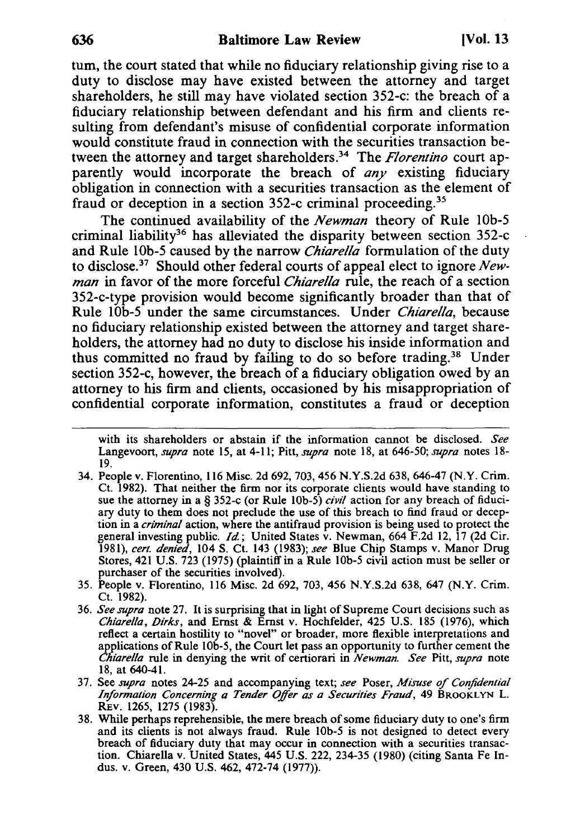tum, the court stated that while no fiduciary relationship giving rise to a duty to disclose may have existed between the attorney and target shareholders, he still may have violated section 352-c: the breach of a fiduciary relationship between defendant and his firm and clients resulting from defendant's misuse of confidential corporate information would constitute fraud in connection with the securities transaction between the attorney and target shareholders.<sup>34</sup> The *Florentino* court apparently would incorporate the breach of *any* existing fiduciary obligation in connection with a securities transaction as the element of fraud or deception in a section 352-c criminal proceeding.<sup>35</sup>

The continued availability of the *Newman* theory of Rule lOb-5 criminal liability<sup>36</sup> has alleviated the disparity between section 352-c and Rule lOb-5 caused by the narrow *Chiarella* formulation of the duty to disclose?7 Should other federal courts of appeal elect to ignore *Newman* in favor of the more forceful *Chiarella* rule, the reach of a section 352-c-type provision would become significantly broader than that of Rule lOb-5 under the same circumstances. Under *Chiarella,* because no fiduciary relationship existed between the attorney and target shareholders, the attorney had no duty to disclose his inside information and thus committed no fraud by failing to do so before trading.38 Under section 352-c, however, the breach of a fiduciary obligation owed by an attorney to his firm and clients, occasioned by his misappropriation of confidential corporate information, constitutes a fraud or deception

- 34. People v. Florentino, 116 Misc. 2d 692, 703, 456 N.Y.S.2d 638, 646-47 (N.Y. Crim. Ct. 1982). That neither the firm nor its corporate clients would have standing to sue the attorney in a § 352-c (or Rule IOb-5) *civil* action for any breach of fiduciary duty to them does not preclude the use of this breach to find fraud or deception in a *criminal* action, where the antifraud provision is being used to protect the general investing public. *Id;* United States v. Newman, 664 F.2d 12, 17 (2d Cir. *1981), cert. denied,* 104 S. Ct. 143 (1983); *see* Blue Chip Stamps v. Manor Drug Stores, 421 U.S. 723 (1975) (plaintiff in a Rule IOb-5 civil action must be seller or purchaser of the securities involved).
- 35. People v. Florentino, 116 Misc. 2d 692, 703,456 N.Y.S.2d 638, 647 (N.Y. Crim. Ct. 1982).
- *36. See supra* note 27. It is surprising that in light of Supreme Court decisions such as *Chiarella, Dirks,* and Ernst & Ernst v. Hochfelder, 425 U.S. 185 (1976), which reflect a certain hostility to "novel" or broader, more flexible interpretations and applications of Rule IOb-5, the Court let pass an opportunity to further cement the *Chiarella* rule in denying the writ of certiorari in *Newman. See* Pitt, *supra* note 18, at 640-41.
- 37. See *supra* notes 24-25 and accompanying text; *see* Poser, *Misuse of Confidential Information Concerning a Tender Offer as a Securities Fraud,* 49 BROOKLYN L. REv. 1265, 1275 (1983).
- 38. While perhaps reprehensible, the mere breach of some fiduciary duty to one's firm and its clients is not always fraud. Rule IOb-5 is not designed to detect every breach of fiduciary duty that may occur in connection with a securities transaction. Chiarella v. United States, 445 U.S. 222, 234-35 (1980) (citing Santa Fe Indus. v. Green, 430 U.S. 462, 472-74 (1977)).

with its shareholders or abstain if the information cannot be disclosed. *See*  Langevoort, *supra* note IS, at 4-11; Pitt, *supra* note 18, at 646-50; *supra* notes 18- 19.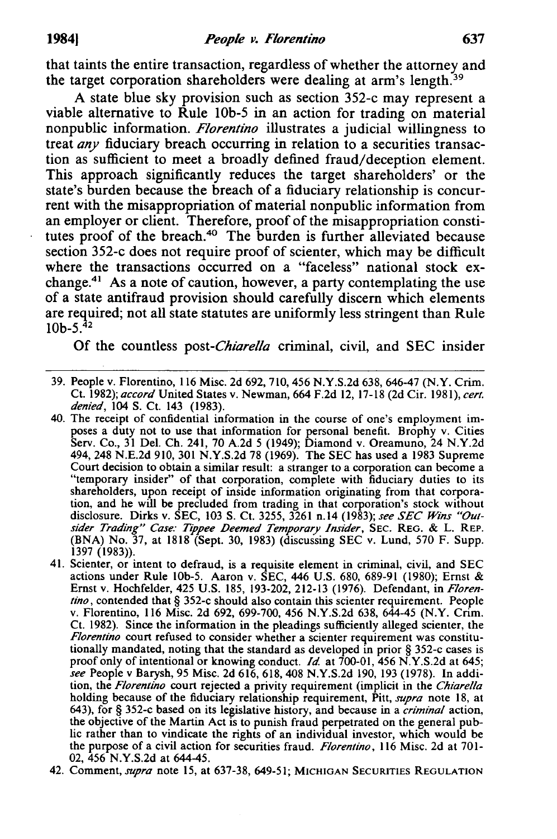that taints the entire transaction, regardless of whether the attorney and the target corporation shareholders were dealing at arm's length.<sup>39</sup>

A state blue sky provision such as section 352-c may represent a viable alternative to Rule lOb-5 in an action for trading on material non public information. *Florentino* illustrates a judicial willingness to treat *any* fiduciary breach occurring in relation to a securities transaction as sufficient to meet a broadly defined fraud/deception element. This approach significantly reduces the target shareholders' or the state's burden because the breach of a fiduciary relationship is concurrent with the misappropriation of material nonpublic information from an employer or client. Therefore, proof of the misappropriation constitutes proof of the breach.<sup>40</sup> The burden is further alleviated because section 352-c does not require proof of scienter, which may be difficult where the transactions occurred on a "faceless" national stock exchange.41 As a note of caution, however, a party contemplating the use of a state antifraud provision should carefully discern which elements are required; not all state statutes are uniformly less stringent than Rule  $10b-5$ .<sup>42</sup>

Of the countless *post-Chiarella* criminal, civil, and SEC insider

- 39. People v. Florentino, 116 Misc. 2d 692, 710, 456 N.Y.S.2d 638,646-47 (N.Y. Crim. Ct. 1982); *accord* United States v. Newman, 664 F.2d 12, 17-18 (2d Cir. 1981), *cert. denied,* 104 S. Ct. 143 (1983).
- 40. The receipt of confidential information in the course of one's employment imposes a duty not to use that information for personal benefit. Brophy v. Cities Serv. Co., 31 Del. Ch. 241, 70 A.2d 5 (1949); Diamond v. Oreamuno, 24 N.Y.2d 494,248 N.E.2d 910, 301 N.Y.S.2d 78 (1969). The SEC has used a 1983 Supreme Court decision to obtain a similar result: a stranger to a corporation can become a "temporary insider" of that corporation, complete with fiduciary duties to its shareholders, upon receipt of inside information originating from that corporation, and he will be precluded from trading in that corporation's stock without disclosure. Dirks v. SEC, 103 S. Ct. 3255, 3261 n.14 (1983); *see SEC Wins "Outsider Trading" Case: Tippee Deemed Temporary Insider,* SEC. REG. & L. REP. (BNA) No. 37, at 1818 (Sept. 30, 1983) (discussing SEC v. Lund, 570 F. Supp. 1397 (1983».
- 41. Scienter, or intent to defraud, is a requisite element in criminal, civil, and SEC actions under Rule IOb-5. Aaron v. SEC, 446 U.S. 680, 689-91 (1980); Ernst & Ernst v. Hochfelder, 425 U.S. 185, 193-202,212-13 (1976). Defendant, in *Florentino,* contended that § 352-c should also contain this scienter requirement. People v. Florentino, 116 Misc. 2d 692, 699-700,456 N.Y.S.2d 638, 644-45 (N.Y. Crim. Ct. 1982). Since the information in the pleadings sufficiently alleged scienter, the *Florentino* court refused to consider whether a scienter requirement was constitutionally mandated, noting that the standard as developed in prior § 352-c cases is proof only of intentional or knowing conduct. *Id.* at 700-01, 456 N.Y.S.2d at 645; *see* People v Barysh, 95 Misc. 2d 616, 618, 408 N.Y.S.2d 190, 193 (1978). In addition, the *Florentino* court rejected a privity requirement (implicit in the *Chiarella*  holding because of the fiduciary relationship requirement, Pitt, *supra* note 18, at 643), for § 352-c based on its legislative history, and because in a *criminal* action, the objective of the Martin Act is to punish fraud perpetrated on the general public rather than to vindicate the rights of an individual investor, which would be the purpose of a civil action for securities fraud. *Florentino,* 116 Misc. 2d at 701- 02,456 N.Y.S.2d at 644-45.
- 42. Comment, *supra* note 15, at 637-38, 649-51; MICHIGAN SECURITIES REGULATION